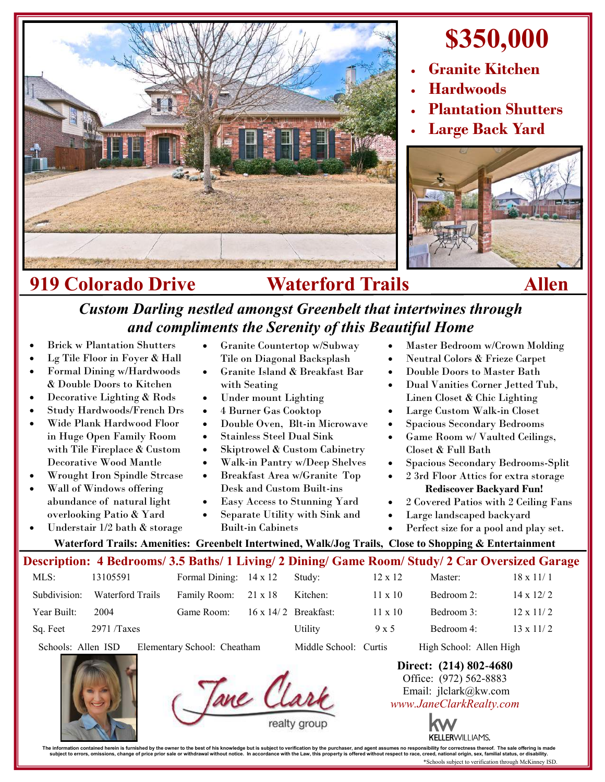

# **\$350,000**

- **Granite Kitchen**
- **Hardwoods**
- **Plantation Shutters**
- **Large Back Yard**



## **919 Colorado Drive Waterford Trails Allen**

### *Custom Darling nestled amongst Greenbelt that intertwines through and compliments the Serenity of this Beautiful Home*

- Brick w Plantation Shutters
- Lg Tile Floor in Foyer & Hall
- Formal Dining w/Hardwoods & Double Doors to Kitchen
- Decorative Lighting & Rods
- Study Hardwoods/French Drs
- Wide Plank Hardwood Floor in Huge Open Family Room with Tile Fireplace & Custom Decorative Wood Mantle
- Wrought Iron Spindle Strcase
- Wall of Windows offering abundance of natural light overlooking Patio & Yard
- Understair 1/2 bath & storage
- Granite Countertop w/Subway Tile on Diagonal Backsplash
- Granite Island & Breakfast Bar with Seating
- Under mount Lighting
- 4 Burner Gas Cooktop
- Double Oven, Blt-in Microwave
- Stainless Steel Dual Sink
- Skiptrowel & Custom Cabinetry
- Walk-in Pantry w/Deep Shelves
- Breakfast Area w/Granite Top Desk and Custom Built-ins
- Easy Access to Stunning Yard
- Separate Utility with Sink and
- Built-in Cabinets

Tane Cla

- Master Bedroom w/Crown Molding
- Neutral Colors & Frieze Carpet
	- Double Doors to Master Bath
	- Dual Vanities Corner Jetted Tub, Linen Closet & Chic Lighting
	- Large Custom Walk-in Closet
- Spacious Secondary Bedrooms
- Game Room w/ Vaulted Ceilings, Closet & Full Bath
- Spacious Secondary Bedrooms-Split
- 2 3rd Floor Attics for extra storage **Rediscover Backyard Fun!**
- 2 Covered Patios with 2 Ceiling Fans
- Large landscaped backyard
- Perfect size for a pool and play set.

**Waterford Trails: Amenities: Greenbelt Intertwined, Walk/Jog Trails, Close to Shopping & Entertainment**

#### **Description: 4 Bedrooms/ 3.5 Baths/ 1 Living/ 2 Dining/ Game Room/ Study/ 2 Car Oversized Garage**

| MLS:         | 13105591         | Formal Dining: $14 \times 12$ | Study:                      | $12 \times 12$ | Master:    | $18 \times 11/1$ |
|--------------|------------------|-------------------------------|-----------------------------|----------------|------------|------------------|
| Subdivision: | Waterford Trails | Family Room: 21 x 18          | Kitchen:                    | $11 \times 10$ | Bedroom 2: | $14 \times 12/2$ |
| Year Built:  | 2004             | Game Room:                    | $16 \times 14/2$ Breakfast: | $11 \times 10$ | Bedroom 3: | $12 \times 11/2$ |
| Sq. Feet     | 2971/Taxes       |                               | Utility                     | 9 x 5          | Bedroom 4: | $13 \times 11/2$ |

Schools: Allen ISD Elementary School: Cheatham Middle School: Curtis High School: Allen High

## **Direct: (214) 802-4680**

Office: (972) 562-8883 Email: jlclark@kw.com *www.JaneClarkRealty.com*



The information contained heren is furnished by the owner to the best of his knowledge but is usuplect to verification by the purchaser, and agent assumes no responsibility for corrections then incompted in accordance with